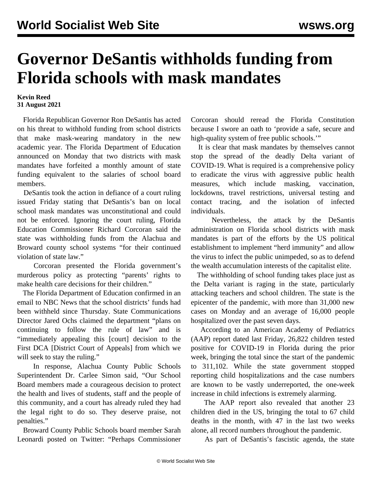## **Governor DeSantis withholds funding from Florida schools with mask mandates**

## **Kevin Reed 31 August 2021**

 Florida Republican Governor Ron DeSantis has acted on his threat to withhold funding from school districts that make mask-wearing mandatory in the new academic year. The Florida Department of Education announced on Monday that two districts with mask mandates have forfeited a monthly amount of state funding equivalent to the salaries of school board members.

 DeSantis took the action in defiance of a court ruling issued Friday stating that DeSantis's ban on local school mask mandates was unconstitutional and could not be enforced. Ignoring the court ruling, Florida Education Commissioner Richard Corcoran said the state was withholding funds from the Alachua and Broward county school systems "for their continued violation of state law."

 Corcoran presented the Florida government's murderous policy as protecting "parents' rights to make health care decisions for their children."

 The Florida Department of Education confirmed in an email to NBC News that the school districts' funds had been withheld since Thursday. State Communications Director Jared Ochs claimed the department "plans on continuing to follow the rule of law" and is "immediately appealing this [court] decision to the First DCA [District Court of Appeals] from which we will seek to stay the ruling."

 In response, Alachua County Public Schools Superintendent Dr. Carlee Simon said, "Our School Board members made a courageous decision to protect the health and lives of students, staff and the people of this community, and a court has already ruled they had the legal right to do so. They deserve praise, not penalties."

 Broward County Public Schools board member Sarah Leonardi posted on Twitter: "Perhaps Commissioner Corcoran should reread the Florida Constitution because I swore an oath to 'provide a safe, secure and high-quality system of free public schools.'"

 It is clear that mask mandates by themselves cannot stop the spread of the deadly Delta variant of COVID-19. What is required is a comprehensive policy to eradicate the virus with aggressive public health measures, which include masking, vaccination, lockdowns, travel restrictions, universal testing and contact tracing, and the isolation of infected individuals.

 Nevertheless, the attack by the DeSantis administration on Florida school districts with mask mandates is part of the efforts by the US political establishment to implement "herd immunity" and allow the virus to infect the public unimpeded, so as to defend the wealth accumulation interests of the capitalist elite.

 The withholding of school funding takes place just as the Delta variant is raging in the state, particularly attacking teachers and school children. The state is the epicenter of the pandemic, with more than 31,000 new cases on Monday and an average of 16,000 people hospitalized over the past seven days.

 According to an American Academy of Pediatrics (AAP) report dated last Friday, 26,822 children tested positive for COVID-19 in Florida during the prior week, bringing the total since the start of the pandemic to 311,102. While the state government stopped reporting child hospitalizations and the case numbers are known to be vastly underreported, the one-week increase in child infections is extremely alarming.

 The AAP report also revealed that another 23 children died in the US, bringing the total to 67 child deaths in the month, with 47 in the last two weeks alone, all record numbers throughout the pandemic.

As part of DeSantis's fascistic agenda, the state